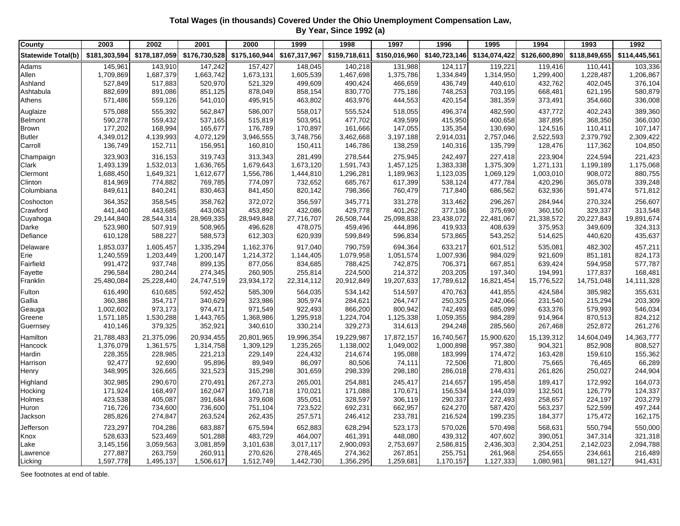## **Total Wages (in thousands) Covered Under the Ohio Unemployment Compensation Law, By Year, Since 1992 (a)**

| County                    | 2003          | 2002          | 2001          | 2000          | 1999          | 1998          | 1997          | 1996          | 1995          | 1994          | 1993          | 1992          |
|---------------------------|---------------|---------------|---------------|---------------|---------------|---------------|---------------|---------------|---------------|---------------|---------------|---------------|
| <b>Statewide Total(b)</b> | \$181,303,594 | \$178,187,059 | \$176,730,528 | \$175,160,944 | \$167,317,967 | \$159,718,611 | \$150,016,960 | \$140,723,146 | \$134,074,422 | \$126,600,890 | \$118,849,655 | \$114,445,561 |
| Adams                     | 145,961       | 143,910       | 147,242       | 157,427       | 148,045       | 140,218       | 131,988       | 124,117       | 119,221       | 119,416       | 110,441       | 103,336       |
| Allen                     | 1,709,869     | 1,687,379     | 1,663,742     | 1,673,131     | 1,605,539     | 1,467,698     | 1,375,786     | 1,334,849     | 1,314,950     | 1,299,400     | 1,228,487     | 1,206,867     |
| Ashland                   | 527,849       | 517,883       | 520,970       | 521,329       | 499,609       | 490,424       | 466,659       | 436,749       | 440,610       | 432,762       | 402,045       | 376,104       |
| Ashtabula                 | 882,699       | 891,086       | 851,125       | 878,049       | 858,154       | 830,770       | 775,186       | 748,253       | 703,195       | 668,481       | 621,195       | 580,879       |
| Athens                    | 571,486       | 559,126       | 541,010       | 495,915       | 463,802       | 463,976       | 444,553       | 420,154       | 381,359       | 373,491       | 354,660       | 336,008       |
| Auglaize                  | 575,088       | 555,392       | 562,847       | 586,007       | 558,017       | 555,524       | 518,055       | 496,374       | 482,590       | 437,772       | 402,243       | 389,360       |
| Belmont                   | 590,278       | 559,432       | 537,165       | 515,819       | 503,951       | 477,702       | 439,599       | 415,950       | 400,658       | 387,895       | 368,350       | 366,030       |
| <b>Brown</b>              | 177,202       | 168,994       | 165,677       | 176,789       | 170,897       | 161,666       | 147,055       | 135,354       | 130,690       | 124,516       | 110,411       | 107,147       |
| <b>Butler</b>             | 4,349,012     | 4,139,993     | 4,072,129     | 3,946,555     | 3,748,756     | 3,462,668     | 3,197,188     | 2,914,031     | 2,757,046     | 2,522,593     | 2,379,792     | 2,309,422     |
| Carroll                   | 136,749       | 152,711       | 156,951       | 160,810       | 150,411       | 146,786       | 138,259       | 140,316       | 135,799       | 128,476       | 117,362       | 104,850       |
| Champaign                 | 323,903       | 316,153       | 319,743       | 313,343       | 281,499       | 278,544       | 275,945       | 242,497       | 227,418       | 223,904       | 224,594       | 221,423       |
| Clark                     | 1,493,139     | 1,532,013     | 1,636,765     | 1,679,643     | 1,673,120     | 1,591,743     | 1,457,125     | 1,383,338     | 1,375,309     | 1,271,131     | 1,199,189     | 1,175,068     |
| Clermont                  | 1,688,450     | 1,649,321     | 1,612,677     | 1,556,786     | 1,444,810     | 1,296,281     | 1,189,963     | 1,123,035     | 1,069,129     | 1,003,010     | 908,072       | 880,755       |
| Clinton                   | 814,969       | 774,882       | 769,785       | 774,097       | 732,652       | 685,767       | 617,399       | 538,124       | 477,784       | 420,296       | 365,078       | 339,248       |
| Columbiana                | 849,611       | 840,241       | 830,463       | 841,450       | 820,142       | 798,366       | 760,479       | 717,840       | 686,562       | 632,936       | 591,474       | 571,812       |
| Coshocton                 | 364,352       | 358,545       | 358,762       | 372,072       | 356,597       | 345,771       | 331,278       | 313,462       | 296,267       | 284,944       | 270,324       | 256,607       |
| Crawford                  | 441,440       | 443,685       | 443,063       | 453,892       | 432,086       | 429,778       | 401,262       | 377,136       | 375,690       | 360,150       | 329,337       | 313,548       |
| Cuyahoga                  | 29,144,840    | 28,544,314    | 28,969,335    | 28,949,848    | 27,716,707    | 26,508,744    | 25,098,838    | 23,438,072    | 22,481,067    | 21,338,572    | 20,227,843    | 19,891,674    |
| Darke                     | 523,980       | 507,919       | 508,965       | 496,628       | 478,075       | 459,496       | 444,896       | 419,933       | 408,639       | 375,953       | 349,609       | 324,313       |
| Defiance                  | 610,128       | 588,227       | 588,573       | 612,303       | 620,939       | 599,849       | 596,834       | 573,865       | 543,252       | 514,625       | 440,620       | 435,637       |
| Delaware                  | 1,853,037     | 1,605,457     | 1,335,294     | 1,162,376     | 917,040       | 790,759       | 694,364       | 633,217       | 601,512       | 535,081       | 482,302       | 457,211       |
| Erie                      | 1,240,559     | 1,203,449     | 1,200,147     | 1,214,372     | 1,144,405     | 1,079,958     | 1,051,574     | 1,007,936     | 984,029       | 921,609       | 851,181       | 824,173       |
| Fairfield                 | 991,472       | 937,748       | 899,135       | 877,056       | 834,685       | 788,425       | 742,875       | 706,371       | 667,851       | 639,424       | 594,958       | 577,787       |
| Fayette                   | 296,584       | 280,244       | 274,345       | 260,905       | 255,814       | 224,500       | 214,372       | 203,205       | 197,340       | 194,991       | 177,837       | 168,481       |
| Franklin                  | 25,480,084    | 25,228,440    | 24,747,519    | 23,934,172    | 22,314,112    | 20,912,849    | 19,207,633    | 17,789,612    | 16,821,454    | 15,776,522    | 14,751,048    | 14,111,328    |
| Fulton                    | 616,490       | 610,685       | 592,452       | 585,309       | 564,035       | 534,142       | 514,597       | 470,763       | 441,855       | 424,584       | 385,982       | 355,631       |
| Gallia                    | 360,386       | 354,717       | 340,629       | 323,986       | 305,974       | 284,621       | 264,747       | 250,325       | 242,066       | 231,540       | 215,294       | 203,309       |
| Geauga                    | 1,002,602     | 973,173       | 974,471       | 971,549       | 922,493       | 866,200       | 800,942       | 742,493       | 685,099       | 633,376       | 579,993       | 546,034       |
| Greene                    | 1,571,185     | 1,530,288     | 1,443,765     | 1,368,986     | 1,295,918     | 1,224,704     | 1,125,338     | 1,059,355     | 984,289       | 914,964       | 870,513       | 824,212       |
| Guernsey                  | 410,146       | 379,325       | 352,921       | 340,610       | 330,214       | 329,273       | 314,613       | 294,248       | 285,560       | 267,468       | 252,872       | 261,276       |
| Hamilton                  | 21,788,483    | 21,375,096    | 20,934,455    | 20,801,965    | 19,996,354    | 19,229,987    | 17,872,157    | 16,740,567    | 15,900,620    | 15,139,312    | 14,604,049    | 14,363,777    |
| Hancock                   | 1,376,079     | 1,361,575     | 1,314,758     | 1,309,129     | 1,235,265     | 1,138,002     | 1,049,002     | 1,000,898     | 957,380       | 904,321       | 852,908       | 808,527       |
| Hardin                    | 228,355       | 228,985       | 221,213       | 229,149       | 224,432       | 214,674       | 195,088       | 183,999       | 174,472       | 163,428       | 159,610       | 155,362       |
| Harrison                  | 92,477        | 92,690        | 95,896        | 89,949        | 86,097        | 80,506        | 74,111        | 72,506        | 71,800        | 75,665        | 76,465        | 66,289        |
| Henry                     | 348,995       | 326,665       | 321,523       | 315,298       | 301,659       | 298,339       | 298,180       | 286,018       | 278,431       | 261,826       | 250,027       | 244,904       |
| Highland                  | 302,985       | 290,670       | 270,491       | 267,273       | 265,001       | 254,881       | 245,417       | 214,657       | 195,458       | 189,417       | 172,992       | 164,073       |
| Hocking                   | 171,924       | 168,497       | 162,047       | 160,718       | 170,021       | 171,088       | 170,671       | 156,534       | 144,039       | 132,501       | 126,779       | 124,337       |
| Holmes                    | 423,538       | 405,087       | 391,684       | 379,608       | 355,051       | 328,597       | 306,119       | 290,337       | 272,493       | 258,657       | 224,197       | 203,279       |
| Huron                     | 716,726       | 734,600       | 736,600       | 751,104       | 723,522       | 692,231       | 662,957       | 624,270       | 587,420       | 563,237       | 522,599       | 497,244       |
| Jackson                   | 285,826       | 274,847       | 263,524       | 262,435       | 257,571       | 246,412       | 233,781       | 216,524       | 199,235       | 184,377       | 175,472       | 162,175       |
| Jefferson                 | 723,297       | 704,286       | 683,887       | 675,594       | 652,883       | 628,294       | 523,173       | 570,026       | 570,498       | 568,631       | 550,794       | 550,000       |
| Knox                      | 528,633       | 523,469       | 501,288       | 483,729       | 464,007       | 461,391       | 448,080       | 439,312       | 407,602       | 390,051       | 347,314       | 321,318       |
| Lake                      | 3,145,156     | 3,059,563     | 3,081,859     | 3,101,638     | 3,017,117     | 2,900,093     | 2,753,697     | 2,586,815     | 2,436,303     | 2,304,251     | 2,142,023     | 2,094,788     |
| Lawrence                  | 277,887       | 263,759       | 260,911       | 270,626       | 278,465       | 274,362       | 267,851       | 255,751       | 261,968       | 254,655       | 234,661       | 216,489       |
| Licking                   | 1,597,778     | 1,495,137     | 1,506,617     | 1,512,749     | 1,442,730     | 1,356,295     | 1,259,681     | 1,170,157     | 1,127,333     | 1,080,981     | 981,127       | 941,431       |
|                           |               |               |               |               |               |               |               |               |               |               |               |               |

See footnotes at end of table.